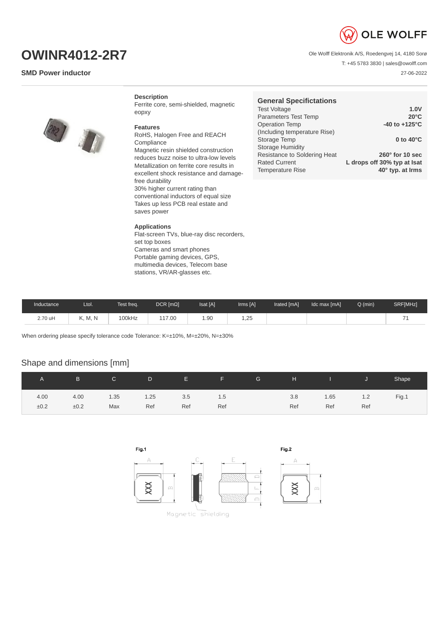

T: +45 5783 3830 | sales@owolff.com

27-06-2022

Ole Wolff Elektronik A/S, Roedengvej 14, 4180 Sorø

**OWINR4012-2R7**

## **SMD Power inductor**

**Description**

Ferrite core, semi-shielded, magnetic eopxy

## **Features**

RoHS, Halogen Free and REACH Compliance Magnetic resin shielded construction reduces buzz noise to ultra-low levels Metallization on ferrite core results in excellent shock resistance and damagefree durability 30% higher current rating than conventional inductors of equal size Takes up less PCB real estate and saves power

## **Applications**

Flat-screen TVs, blue-ray disc recorders, set top boxes Cameras and smart phones Portable gaming devices, GPS, multimedia devices, Telecom base stations, VR/AR-glasses etc.

| <b>General Specifictations</b> |                             |
|--------------------------------|-----------------------------|
| <b>Test Voltage</b>            | 1.0V                        |
| Parameters Test Temp           | $20^{\circ}$ C              |
| <b>Operation Temp</b>          | -40 to $+125^{\circ}$ C     |
| (Including temperature Rise)   |                             |
| Storage Temp                   | 0 to $40^{\circ}$ C         |
| <b>Storage Humidity</b>        |                             |
| Resistance to Soldering Heat   | $260^\circ$ for 10 sec      |
| <b>Rated Current</b>           | L drops off 30% typ at Isat |
| <b>Temperature Rise</b>        | 40° typ. at Irms            |

| Inductance | Ltol.   | Test freq. | $DCR$ [ $m\Omega$ ] | Isat [A] | Irms [A] | Irated [mA] | Idc max [mA] | O (min) | SRF[MHz] |
|------------|---------|------------|---------------------|----------|----------|-------------|--------------|---------|----------|
| 2.70 uH    | K, M, N | 100kHz     | 117.00              | 1.90     | 1,25     |             |              |         |          |

When ordering please specify tolerance code Tolerance: K=±10%, M=±20%, N=±30%

## Shape and dimensions [mm]

|      | B    | $\mathsf{C}$ | D    | <b>E</b> F | <b>CONTRACTOR</b> | G. | H.  | and the state of the state of the state of the state of the state of the state of the state of the state of th |     | Shape |
|------|------|--------------|------|------------|-------------------|----|-----|----------------------------------------------------------------------------------------------------------------|-----|-------|
| 4.00 | 4.00 | 1.35         | 1.25 | 3.5        | 1.5               |    | 3.8 | 1.65                                                                                                           | 1.2 | Fig.1 |
| ±0.2 | ±0.2 | Max          | Ref  | Ref        | Ref               |    | Ref | Ref                                                                                                            | Ref |       |